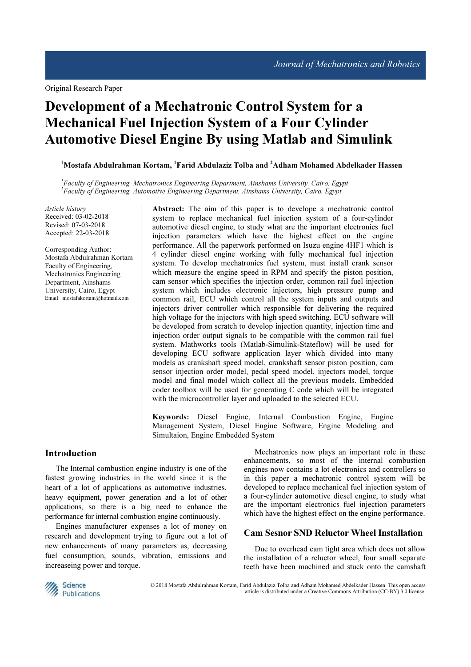Original Research Paper

# Development of a Mechatronic Control System for a Mechanical Fuel Injection System of a Four Cylinder Automotive Diesel Engine By using Matlab and Simulink

<sup>1</sup>Mostafa Abdulrahman Kortam, <sup>1</sup>Farid Abdulaziz Tolba and <sup>2</sup>Adham Mohamed Abdelkader Hassen

 ${}^{1}$ Faculty of Engineering, Mechatronics Engineering Department, Ainshams University, Cairo, Egypt  ${}^{2}$ Faculty of Engineering, Automotive Engineering Department, Ainshams University, Cairo, Egypt

Article history Received: 03-02-2018 Revised: 07-03-2018 Accepted: 22-03-2018

Corresponding Author: Mostafa Abdulrahman Kortam Faculty of Engineering, Mechatronics Engineering Department, Ainshams University, Cairo, Egypt Email: mostafakortam@hotmail.com

Abstract: The aim of this paper is to develope a mechatronic control system to replace mechanical fuel injection system of a four-cylinder automotive diesel engine, to study what are the important electronics fuel injection parameters which have the highest effect on the engine performance. All the paperwork performed on Isuzu engine 4HF1 which is 4 cylinder diesel engine working with fully mechanical fuel injection system. To develop mechatronics fuel system, must install crank sensor which measure the engine speed in RPM and specify the piston position, cam sensor which specifies the injection order, common rail fuel injection system which includes electronic injectors, high pressure pump and common rail, ECU which control all the system inputs and outputs and injectors driver controller which responsible for delivering the required high voltage for the injectors with high speed switching. ECU software will be developed from scratch to develop injection quantity, injection time and injection order output signals to be compatible with the common rail fuel system. Mathworks tools (Matlab-Simulink-Stateflow) will be used for developing ECU software application layer which divided into many models as crankshaft speed model, crankshaft sensor piston position, cam sensor injection order model, pedal speed model, injectors model, torque model and final model which collect all the previous models. Embedded coder toolbox will be used for generating C code which will be integrated with the microcontroller layer and uploaded to the selected ECU.

Keywords: Diesel Engine, Internal Combustion Engine, Engine Management System, Diesel Engine Software, Engine Modeling and Simultaion, Engine Embedded System

## Introduction

The Internal combustion engine industry is one of the fastest growing industries in the world since it is the heart of a lot of applications as automotive industries, heavy equipment, power generation and a lot of other applications, so there is a big need to enhance the performance for internal combustion engine continuously.

Engines manufacturer expenses a lot of money on research and development trying to figure out a lot of new enhancements of many parameters as, decreasing fuel consumption, sounds, vibration, emissions and increaseing power and torque.

Mechatronics now plays an important role in these enhancements, so most of the internal combustion engines now contains a lot electronics and controllers so in this paper a mechatronic control system will be developed to replace mechanical fuel injection system of a four-cylinder automotive diesel engine, to study what are the important electronics fuel injection parameters which have the highest effect on the engine performance.

# Cam Sesnor SND Reluctor Wheel Installation

Due to overhead cam tight area which does not allow the installation of a reluctor wheel, four small separate teeth have been machined and stuck onto the camshaft



© 2018 Mostafa Abdulrahman Kortam, Farid Abdulaziz Tolba and Adham Mohamed Abdelkader Hassen. This open access article is distributed under a Creative Commons Attribution (CC-BY) 3.0 license.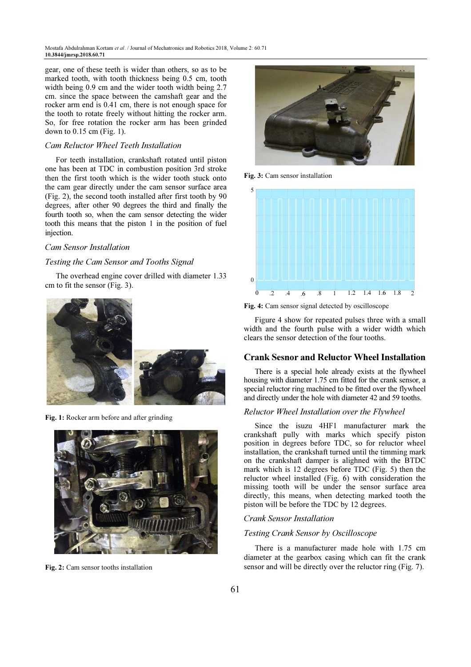gear, one of these teeth is wider than others, so as to be marked tooth, with tooth thickness being 0.5 cm, tooth width being 0.9 cm and the wider tooth width being 2.7 cm. since the space between the camshaft gear and the rocker arm end is 0.41 cm, there is not enough space for the tooth to rotate freely without hitting the rocker arm. So, for free rotation the rocker arm has been grinded down to 0.15 cm (Fig. 1).

## Cam Reluctor Wheel Teeth Installation

For teeth installation, crankshaft rotated until piston one has been at TDC in combustion position 3rd stroke then the first tooth which is the wider tooth stuck onto the cam gear directly under the cam sensor surface area (Fig. 2), the second tooth installed after first tooth by 90 degrees, after other 90 degrees the third and finally the fourth tooth so, when the cam sensor detecting the wider tooth this means that the piston 1 in the position of fuel injection.

## Cam Sensor Installation

#### Testing the Cam Sensor and Tooths Signal

The overhead engine cover drilled with diameter 1.33 cm to fit the sensor (Fig. 3).



Fig. 1: Rocker arm before and after grinding



Fig. 2: Cam sensor tooths installation



Fig. 3: Cam sensor installation



Fig. 4: Cam sensor signal detected by oscilloscope

Figure 4 show for repeated pulses three with a small width and the fourth pulse with a wider width which clears the sensor detection of the four tooths.

#### Crank Sesnor and Reluctor Wheel Installation

There is a special hole already exists at the flywheel housing with diameter 1.75 cm fitted for the crank sensor, a special reluctor ring machined to be fitted over the flywheel and directly under the hole with diameter 42 and 59 tooths.

#### Reluctor Wheel Installation over the Flywheel

Since the isuzu 4HF1 manufacturer mark the crankshaft pully with marks which specify piston position in degrees before TDC, so for reluctor wheel installation, the crankshaft turned until the timming mark on the crankshaft damper is alighned with the BTDC mark which is 12 degrees before TDC (Fig. 5) then the reluctor wheel installed (Fig. 6) with consideration the missing tooth will be under the sensor surface area directly, this means, when detecting marked tooth the piston will be before the TDC by 12 degrees.

## Crank Sensor Installation

#### Testing Crank Sensor by Oscilloscope

There is a manufacturer made hole with 1.75 cm diameter at the gearbox casing which can fit the crank sensor and will be directly over the reluctor ring (Fig. 7).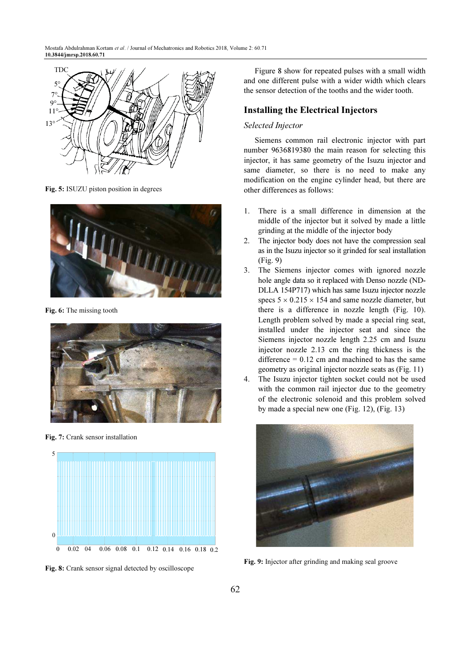

Fig. 5: ISUZU piston position in degrees



Fig. 6: The missing tooth



Fig. 7: Crank sensor installation



Fig. 8: Crank sensor signal detected by oscilloscope

Figure 8 show for repeated pulses with a small width and one different pulse with a wider width which clears the sensor detection of the tooths and the wider tooth.

# Installing the Electrical Injectors

# Selected Injector

Siemens common rail electronic injector with part number 9636819380 the main reason for selecting this injector, it has same geometry of the Isuzu injector and same diameter, so there is no need to make any modification on the engine cylinder head, but there are other differences as follows:

- 1. There is a small difference in dimension at the middle of the injector but it solved by made a little grinding at the middle of the injector body
- 2. The injector body does not have the compression seal as in the Isuzu injector so it grinded for seal installation (Fig. 9)
- 3. The Siemens injector comes with ignored nozzle hole angle data so it replaced with Denso nozzle (ND-DLLA 154P717) which has same Isuzu injector nozzle specs  $5 \times 0.215 \times 154$  and same nozzle diameter, but there is a difference in nozzle length (Fig. 10). Length problem solved by made a special ring seat, installed under the injector seat and since the Siemens injector nozzle length 2.25 cm and Isuzu injector nozzle 2.13 cm the ring thickness is the difference  $= 0.12$  cm and machined to has the same geometry as original injector nozzle seats as (Fig. 11)
- 4. The Isuzu injector tighten socket could not be used with the common rail injector due to the geometry of the electronic solenoid and this problem solved by made a special new one (Fig. 12), (Fig. 13)



Fig. 9: Injector after grinding and making seal groove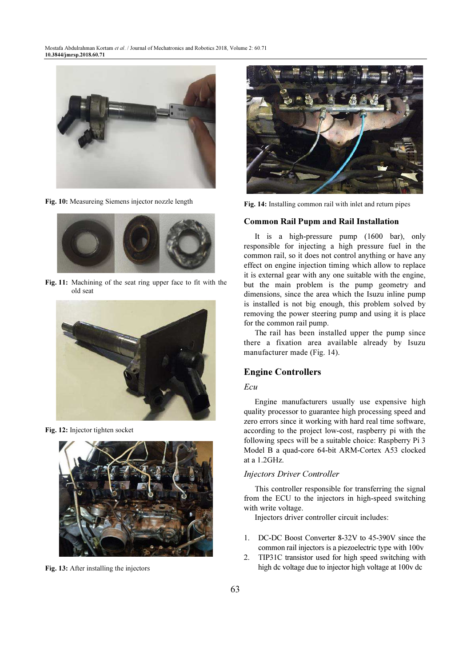

Fig. 10: Measureing Siemens injector nozzle length



Fig. 11: Machining of the seat ring upper face to fit with the old seat



Fig. 12: Injector tighten socket



Fig. 13: After installing the injectors



Fig. 14: Installing common rail with inlet and return pipes

#### Common Rail Pupm and Rail Installation

It is a high-pressure pump (1600 bar), only responsible for injecting a high pressure fuel in the common rail, so it does not control anything or have any effect on engine injection timing which allow to replace it is external gear with any one suitable with the engine, but the main problem is the pump geometry and dimensions, since the area which the Isuzu inline pump is installed is not big enough, this problem solved by removing the power steering pump and using it is place for the common rail pump.

The rail has been installed upper the pump since there a fixation area available already by Isuzu manufacturer made (Fig. 14).

## Engine Controllers

## Ecu

Engine manufacturers usually use expensive high quality processor to guarantee high processing speed and zero errors since it working with hard real time software, according to the project low-cost, raspberry pi with the following specs will be a suitable choice: Raspberry Pi 3 Model B a quad-core 64-bit ARM-Cortex A53 clocked at a 1.2GHz.

## Injectors Driver Controller

This controller responsible for transferring the signal from the ECU to the injectors in high-speed switching with write voltage.

Injectors driver controller circuit includes:

- 1. DC-DC Boost Converter 8-32V to 45-390V since the common rail injectors is a piezoelectric type with 100v
- 2. TIP31C transistor used for high speed switching with high dc voltage due to injector high voltage at 100v dc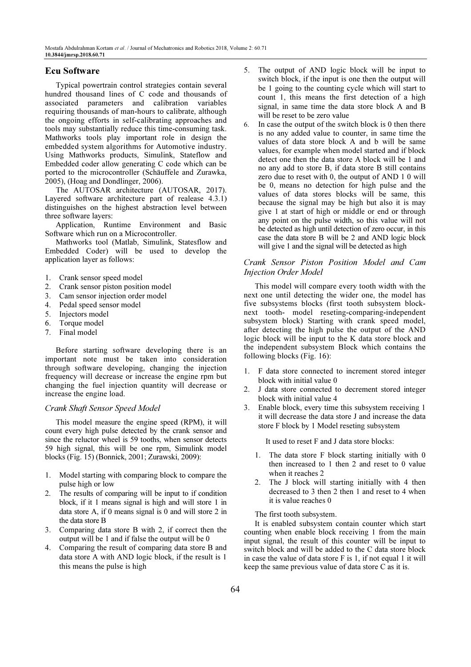# Ecu Software

Typical powertrain control strategies contain several hundred thousand lines of C code and thousands of associated parameters and calibration variables requiring thousands of man-hours to calibrate, although the ongoing efforts in self-calibrating approaches and tools may substantially reduce this time-consuming task. Mathworks tools play important role in design the embedded system algorithms for Automotive industry. Using Mathworks products, Simulink, Stateflow and Embedded coder allow generating C code which can be ported to the microcontroller (Schäuffele and Zurawka, 2005), (Hoag and Dondlinger, 2006).

The AUTOSAR architecture (AUTOSAR, 2017). Layered software architecture part of realease 4.3.1) distinguishes on the highest abstraction level between three software layers:

Application, Runtime Environment and Basic Software which run on a Microcontroller.

Mathworks tool (Matlab, Simulink, Statesflow and Embedded Coder) will be used to develop the application layer as follows:

- 1. Crank sensor speed model
- 2. Crank sensor piston position model
- 3. Cam sensor injection order model
- 4. Pedal speed sensor model
- 5. Injectors model
- 6. Torque model
- 7. Final model

Before starting software developing there is an important note must be taken into consideration through software developing, changing the injection frequency will decrease or increase the engine rpm but changing the fuel injection quantity will decrease or increase the engine load.

#### Crank Shaft Sensor Speed Model

This model measure the engine speed (RPM), it will count every high pulse detected by the crank sensor and since the reluctor wheel is 59 tooths, when sensor detects 59 high signal, this will be one rpm, Simulink model blocks (Fig. 15) (Bonnick, 2001; Zurawski, 2009):

- 1. Model starting with comparing block to compare the pulse high or low
- 2. The results of comparing will be input to if condition block, if it 1 means signal is high and will store 1 in data store A, if 0 means signal is 0 and will store 2 in the data store B
- 3. Comparing data store B with 2, if correct then the output will be 1 and if false the output will be 0
- 4. Comparing the result of comparing data store B and data store A with AND logic block, if the result is 1 this means the pulse is high
- 5. The output of AND logic block will be input to switch block, if the input is one then the output will be 1 going to the counting cycle which will start to count 1, this means the first detection of a high signal, in same time the data store block A and B will be reset to be zero value
- 6. In case the output of the switch block is 0 then there is no any added value to counter, in same time the values of data store block A and b will be same values, for example when model started and if block detect one then the data store A block will be 1 and no any add to store B, if data store B still contains zero due to reset with 0, the output of AND 1 0 will be 0, means no detection for high pulse and the values of data stores blocks will be same, this because the signal may be high but also it is may give 1 at start of high or middle or end or through any point on the pulse width, so this value will not be detected as high until detection of zero occur, in this case the data store B will be 2 and AND logic block will give 1 and the signal will be detected as high

## Crank Sensor Piston Position Model and Cam Injection Order Model

This model will compare every tooth width with the next one until detecting the wider one, the model has five subsystems blocks (first tooth subsystem blocknext tooth- model reseting-comparing-independent subsystem block) Starting with crank speed model, after detecting the high pulse the output of the AND logic block will be input to the K data store block and the independent subsystem Block which contains the following blocks (Fig. 16):

- 1. F data store connected to increment stored integer block with initial value 0
- 2. J data store connected to decrement stored integer block with initial value 4
- 3. Enable block, every time this subsystem receiving 1 it will decrease the data store J and increase the data store F block by 1 Model reseting subsystem

It used to reset F and J data store blocks:

- 1. The data store F block starting initially with 0 then increased to 1 then 2 and reset to 0 value when it reaches 2
- 2. The J block will starting initially with 4 then decreased to 3 then 2 then 1 and reset to 4 when it is value reaches 0

The first tooth subsystem.

It is enabled subsystem contain counter which start counting when enable block receiving 1 from the main input signal, the result of this counter will be input to switch block and will be added to the C data store block in case the value of data store F is 1, if not equal 1 it will keep the same previous value of data store C as it is.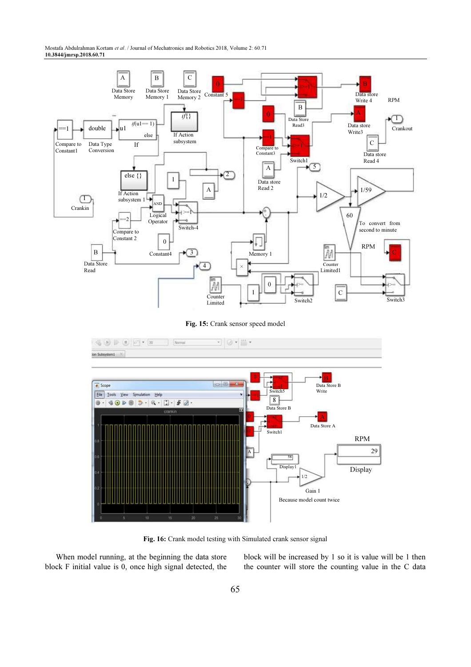

Fig. 16: Crank model testing with Simulated crank sensor signal

When model running, at the beginning the data store block F initial value is 0, once high signal detected, the block will be increased by 1 so it is value will be 1 then the counter will store the counting value in the C data

1/2

Gain 1 Because model count twice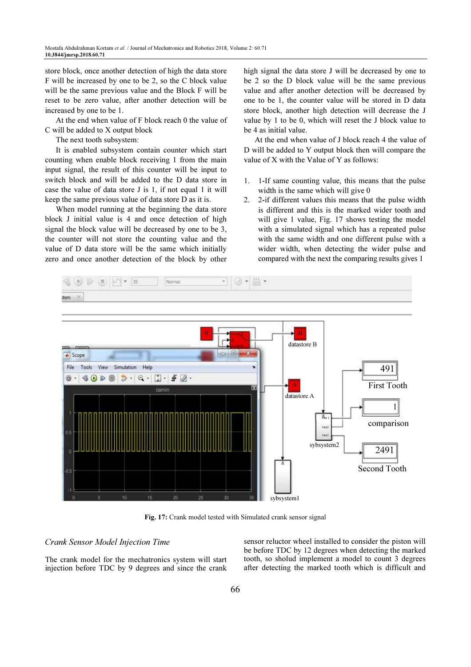store block, once another detection of high the data store F will be increased by one to be 2, so the C block value will be the same previous value and the Block F will be reset to be zero value, after another detection will be increased by one to be 1.

At the end when value of F block reach 0 the value of C will be added to X output block

The next tooth subsystem:

It is enabled subsystem contain counter which start counting when enable block receiving 1 from the main input signal, the result of this counter will be input to switch block and will be added to the D data store in case the value of data store J is 1, if not equal 1 it will keep the same previous value of data store D as it is.

When model running at the beginning the data store block J initial value is 4 and once detection of high signal the block value will be decreased by one to be 3, the counter will not store the counting value and the value of D data store will be the same which initially zero and once another detection of the block by other high signal the data store J will be decreased by one to be 2 so the D block value will be the same previous value and after another detection will be decreased by one to be 1, the counter value will be stored in D data store block, another high detection will decrease the J value by 1 to be 0, which will reset the J block value to be 4 as initial value.

At the end when value of J block reach 4 the value of D will be added to Y output block then will compare the value of X with the Value of Y as follows:

- 1. 1-If same counting value, this means that the pulse width is the same which will give 0
- 2. 2-if different values this means that the pulse width is different and this is the marked wider tooth and will give 1 value, Fig. 17 shows testing the model with a simulated signal which has a repeated pulse with the same width and one different pulse with a wider width, when detecting the wider pulse and compared with the next the comparing results gives 1



Fig. 17: Crank model tested with Simulated crank sensor signal

## Crank Sensor Model Injection Time

The crank model for the mechatronics system will start injection before TDC by 9 degrees and since the crank

sensor reluctor wheel installed to consider the piston will be before TDC by 12 degrees when detecting the marked tooth, so sholud implement a model to count 3 degrees after detecting the marked tooth which is difficult and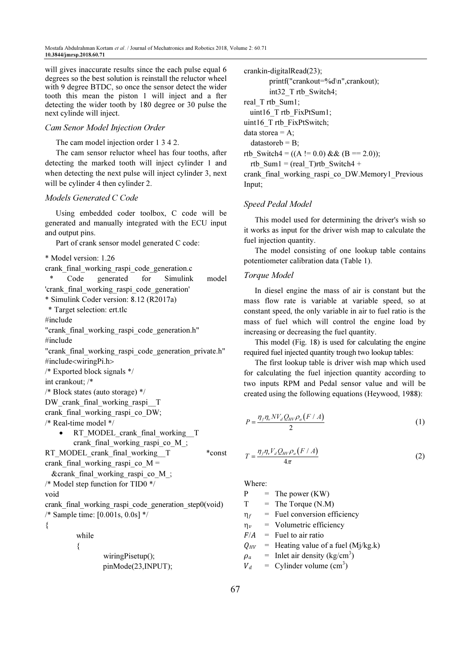will gives inaccurate results since the each pulse equal 6 degrees so the best solution is reinstall the reluctor wheel with 9 degree BTDC, so once the sensor detect the wider tooth this mean the piston 1 will inject and a fter detecting the wider tooth by 180 degree or 30 pulse the next cylinde will inject.

## Cam Senor Model Injection Order

The cam model injection order 1 3 4 2.

The cam sensor reluctor wheel has four tooths, after detecting the marked tooth will inject cylinder 1 and when detecting the next pulse will inject cylinder 3, next will be cylinder 4 then cylinder 2.

## Models Generated C Code

Using embedded coder toolbox, C code will be generated and manually integrated with the ECU input and output pins.

Part of crank sensor model generated C code:

\* Model version: 1.26

crank\_final\_working\_raspi\_code\_generation.c

 \* Code generated for Simulink model 'crank\_final\_working\_raspi\_code\_generation'

\* Simulink Coder version: 8.12 (R2017a)

\* Target selection: ert.tlc

#include

"crank\_final\_working\_raspi\_code\_generation.h" #include

"crank\_final\_working\_raspi\_code\_generation\_private.h" #include<wiringPi.h>

/\* Exported block signals \*/

int crankout; /\*

/\* Block states (auto storage) \*/

DW\_crank\_final\_working\_raspi\_\_T

crank final working raspi co DW;

/\* Real-time model \*/

RT\_MODEL\_crank\_final\_working\_\_T crank final working raspi co M ;

RT\_MODEL\_crank\_final\_working\_\_T \*const

crank final working raspi co  $M =$ 

&crank\_final\_working\_raspi\_co\_M\_;

```
/* Model step function for TID0 */
```
void

crank final working raspi code generation step0(void) /\* Sample time: [0.001s, 0.0s] \*/

{

 $\sim$   $\sim$   $\sim$   $\sim$   $\sim$   $\sim$ 

while

wiringPisetup();

pinMode(23,INPUT);

crankin-digitalRead(23); printf("crankout=%d\n",crankout); int32\_T rtb\_Switch4; real Trtb Sum1; uint16\_T rtb\_FixPtSum1; uint16\_T rtb\_FixPtSwitch; data storea =  $A$ ;  $datasetoreb = B$ ; rtb Switch4 =  $((A != 0.0) & (B == 2.0));$ rtb Sum1 = (real T)rtb Switch4 + crank\_final\_working\_raspi\_co\_DW.Memory1\_Previous Input;

## Speed Pedal Model

This model used for determining the driver's wish so it works as input for the driver wish map to calculate the fuel injection quantity.

The model consisting of one lookup table contains potentiometer calibration data (Table 1).

## Toraue Model

In diesel engine the mass of air is constant but the mass flow rate is variable at variable speed, so at constant speed, the only variable in air to fuel ratio is the mass of fuel which will control the engine load by increasing or decreasing the fuel quantity.

This model (Fig. 18) is used for calculating the engine required fuel injected quantity trough two lookup tables:

The first lookup table is driver wish map which used for calculating the fuel injection quantity according to two inputs RPM and Pedal sensor value and will be created using the following equations (Heywood, 1988):

$$
P = \frac{\eta_f \eta_v N V_d Q_{HV} \rho_a (F/A)}{2} \tag{1}
$$

$$
T = \frac{\eta_f \eta_v V_d Q_{HV} \rho_a (F/A)}{4\pi} \tag{2}
$$

Where:

 $P =$ The power (KW)

 $T =$  The Torque (N.M)

 $\eta_f$  = Fuel conversion efficiency

 $\eta_v$ = Volumetric efficiency

 $F/A$  = Fuel to air ratio

$$
Q_{HV} = \text{Heating value of a fuel (Mj/kg.k)}
$$

 $\rho_a$  = Inlet air density (kg/cm<sup>3</sup>)

 $V_d$  = Cylinder volume (cm<sup>3</sup>)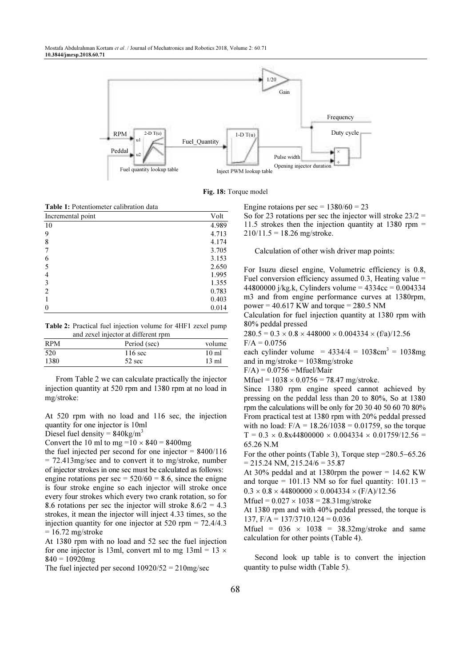

Fig. 18: Torque model

| Incremental point | Volt  |  |  |  |
|-------------------|-------|--|--|--|
| 10                | 4.989 |  |  |  |
| 9                 | 4.713 |  |  |  |
| 8                 | 4.174 |  |  |  |
|                   | 3.705 |  |  |  |
| 6                 | 3.153 |  |  |  |
| 5                 | 2.650 |  |  |  |
| 4                 | 1.995 |  |  |  |
| 3                 | 1.355 |  |  |  |
| $\mathfrak{D}$    | 0.783 |  |  |  |
|                   | 0.403 |  |  |  |
|                   | 0.014 |  |  |  |

Table 2: Practical fuel injection volume for 4HF1 zexel pump and zexel injector at different rpm

| <b>RPM</b> | Period (sec)      | volume           |
|------------|-------------------|------------------|
| 520        | $116 \text{ sec}$ | 10 <sub>m1</sub> |
| 1380       | $52 \text{ sec}$  | $13 \text{ ml}$  |

From Table 2 we can calculate practically the injector injection quantity at 520 rpm and 1380 rpm at no load in mg/stroke:

At 520 rpm with no load and 116 sec, the injection quantity for one injector is 10ml

Diesel fuel density =  $840 \text{kg/m}^3$ 

Convert the 10 ml to mg = $10 \times 840 = 8400$  mg

the fuel injected per second for one injector  $= 8400/116$ = 72.413mg/sec and to convert it to mg/stroke, number of injector strokes in one sec must be calculated as follows: engine rotations per sec =  $520/60 = 8.6$ , since the enigne is four stroke engine so each injector will stroke once every four strokes which every two crank rotation, so for 8.6 rotations per sec the injector will stroke  $8.6/2 = 4.3$ strokes, it mean the injector will inject 4.33 times, so the injection quantity for one injector at 520 rpm = 72.4/4.3  $= 16.72$  mg/stroke

At 1380 rpm with no load and 52 sec the fuel injection for one injector is 13ml, convert ml to mg  $13ml = 13 \times$  $840 = 10920$ mg

The fuel injected per second  $10920/52 = 210$ mg/sec

Engine rotaions per sec =  $1380/60 = 23$ 

So for 23 rotations per sec the injector will stroke  $23/2 =$ 11.5 strokes then the injection quantity at 1380 rpm  $=$  $210/11.5 = 18.26$  mg/stroke.

Calculation of other wish driver map points:

For Isuzu diesel engine, Volumetric efficiency is 0.8, Fuel conversion efficiency assumed 0.3, Heating value  $=$ 44800000 j/kg.k, Cylinders volume =  $4334cc = 0.004334$ m3 and from engine performance curves at 1380rpm, power =  $40.617$  KW and torque =  $280.5$  NM

Calculation for fuel injection quantity at 1380 rpm with 80% peddal pressed

 $280.5 = 0.3 \times 0.8 \times 448000 \times 0.004334 \times (f/a)/12.56$  $F/A = 0.0756$ 

each cylinder volume =  $4334/4 = 1038 \text{cm}^3 = 1038 \text{mg}$ and in mg/stroke = 1038mg/stroke

 $F/A$ ) = 0.0756 = Mfuel/Mair

Mfuel =  $1038 \times 0.0756 = 78.47$  mg/stroke.

Since 1380 rpm engine speed cannot achieved by pressing on the peddal less than 20 to 80%, So at 1380 rpm the calculations will be only for 20 30 40 50 60 70 80% From practical test at 1380 rpm with 20% peddal pressed with no load:  $F/A = 18.26/1038 = 0.01759$ , so the torque  $T = 0.3 \times 0.8x44800000 \times 0.004334 \times 0.01759/12.56 =$ 65.26 N.M

For the other points (Table 3), Torque step =280.5−65.26  $= 215.24$  NM,  $215.24/6 = 35.87$ 

At 30% peddal and at 1380rpm the power  $= 14.62$  KW and torque = 101.13 NM so for fuel quantity:  $101.13$  =  $0.3 \times 0.8 \times 44800000 \times 0.004334 \times (F/A)/12.56$ 

Mfuel =  $0.027 \times 1038 = 28.31$ mg/stroke

At 1380 rpm and with 40% peddal pressed, the torque is 137,  $F/A = 137/3710.124 = 0.036$ 

Mfuel =  $036 \times 1038 = 38.32$ mg/stroke and same calculation for other points (Table 4).

Second look up table is to convert the injection quantity to pulse width (Table 5).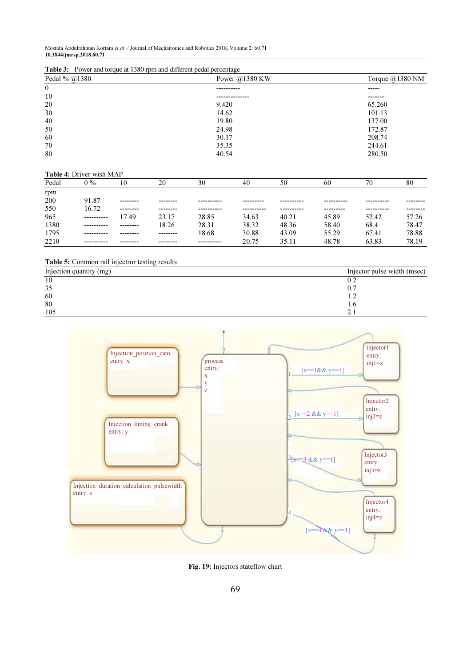Table 3: Power and torque at 1380 rpm and different pedal percentage

| Pedal % @1380    | Power $@1380$ KW | Torque @1380 NM<br>$- - - - -$ |  |
|------------------|------------------|--------------------------------|--|
| $\boldsymbol{0}$ | ----------       |                                |  |
| 10               | .                | -------                        |  |
| 20               | 9.420            | 65.260                         |  |
| 30               | 14.62            | 101.13                         |  |
| 40               | 19.80            | 137.00                         |  |
| 50               | 24.98            | 172.87                         |  |
| 60               | 30.17            | 208.74                         |  |
| 70               | 35.35            | 244.61                         |  |
| 80               | 40.54            | 280.50                         |  |

#### Table 4: Driver wish MAP

| Pedal | $0\%$      |          | 20       | 30         | 40    | 50    | 60        | 70         | 80    |
|-------|------------|----------|----------|------------|-------|-------|-----------|------------|-------|
| rpm   |            |          |          |            |       |       |           |            |       |
| 200   | 91.87      | -------- |          |            |       |       |           |            |       |
| 550   | 16.72      | -------- | -------- | ---------- |       |       | --------- | ---------- |       |
| 965   | ---------- | 17.49    | 23.17    | 28.85      | 34.63 | 40.21 | 45.89     | 52.42      | 57.26 |
| 1380  |            | -------- | 18.26    | 28.31      | 38.32 | 48.36 | 58.40     | 68.4       | 78.47 |
| 1795  | ---------- | -------- | -------- | 18.68      | 30.88 | 43.09 | 55.29     | 67.41      | 78.88 |
| 2210  | ---------- | -------- | -------- | ---------- | 20.75 | 35.11 | 48.78     | 63.83      | 78.19 |

#### Table 5: Common rail injectror testing results

| Injection quantity (mg) | Injector pulse width (msec) |
|-------------------------|-----------------------------|
| 10                      | 0.2                         |
| 35                      | 0.7                         |
| 60                      | .                           |
| 80                      | l.6                         |
| 105                     | <u>، ، ا</u>                |



Fig. 19: Injectors stateflow chart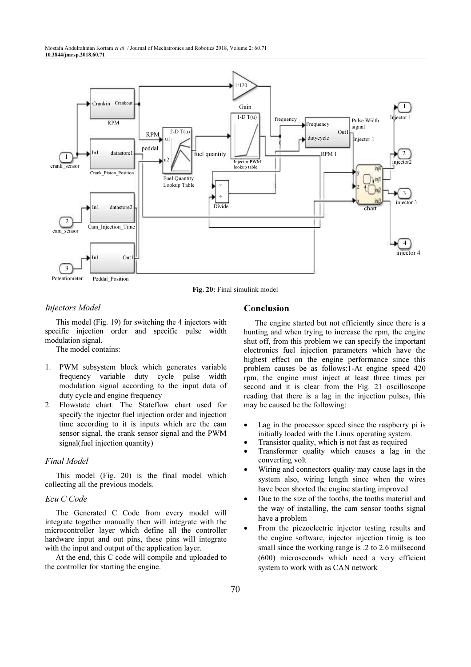

Fig. 20: Final simulink model

## Injectors Model

This model (Fig. 19) for switching the 4 injectors with specific injection order and specific pulse width modulation signal.

The model contains:

- 1. PWM subsystem block which generates variable frequency variable duty cycle pulse width modulation signal according to the input data of duty cycle and engine frequency
- 2. Flowstate chart: The Stateflow chart used for specify the injector fuel injection order and injection time according to it is inputs which are the cam sensor signal, the crank sensor signal and the PWM signal(fuel injection quantity)

## Final Model

This model (Fig. 20) is the final model which collecting all the previous models.

#### Ecu C Code

The Generated C Code from every model will integrate together manually then will integrate with the microcontroller layer which define all the controller hardware input and out pins, these pins will integrate with the input and output of the application layer.

At the end, this C code will compile and uploaded to the controller for starting the engine.

# Conclusion

The engine started but not efficiently since there is a hunting and when trying to increase the rpm, the engine shut off, from this problem we can specify the important electronics fuel injection parameters which have the highest effect on the engine performance since this problem causes be as follows:1-At engine speed 420 rpm, the engine must inject at least three times per second and it is clear from the Fig. 21 oscilloscope reading that there is a lag in the injection pulses, this may be caused be the following:

- Lag in the processor speed since the raspberry pi is initially loaded with the Linux operating system.
- Transistor quality, which is not fast as required
- Transformer quality which causes a lag in the converting volt
- Wiring and connectors quality may cause lags in the system also, wiring length since when the wires have been shorted the engine starting improved
- Due to the size of the tooths, the tooths material and the way of installing, the cam sensor tooths signal have a problem
- From the piezoelectric injector testing results and the engine software, injector injection timig is too small since the working range is .2 to 2.6 miilsecond (600) microseconds which need a very efficient system to work with as CAN network